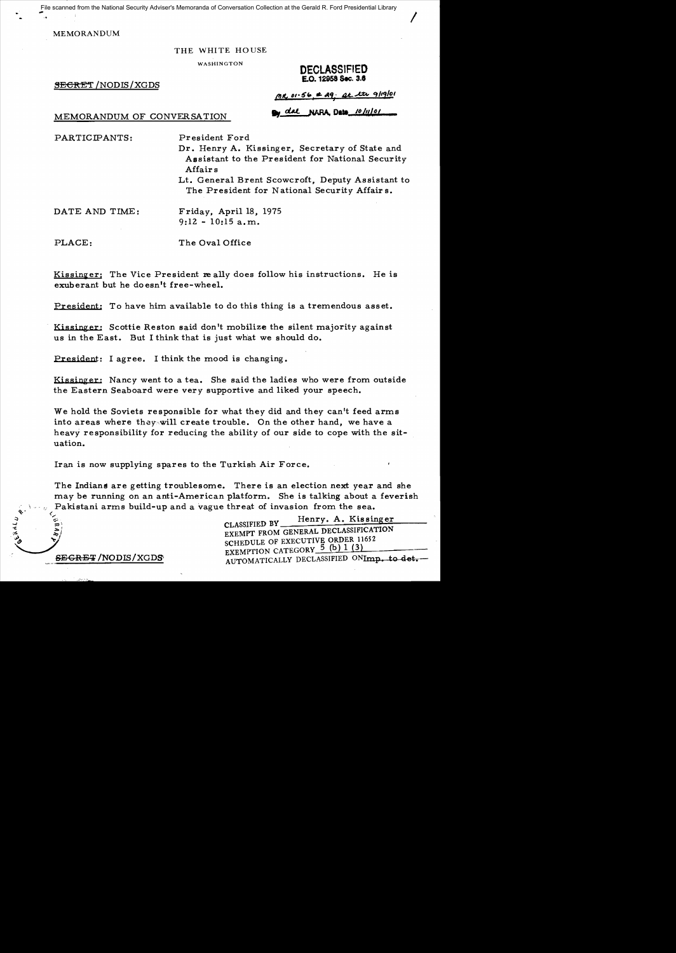File scanned from the National Security Adviser's Memoranda of Conversation Collection at the Gerald R. Ford Presidential Library

MEMORANDUM

#### THE WHITE HOUSE

## WASHINGTON DECLASSIFIED £.0. 12958 Sec. 3.8

 $\overline{\phantom{a}}$ 

**SECRET** / NODIS / XGDS

|  |  |  | $MR$ 01.56 = 29. at the 9/19/01 |  |
|--|--|--|---------------------------------|--|
|  |  |  |                                 |  |

# MEMORANDUM OF CONVERSATION **By del NARA, Date** *10 lul of*

PARTICIPANTS: President Ford

Dr. Henry A. Kissinger, Secretary of State and Assistant to the President for National Security Affairs

Lt. General Brent Scowcroft, Deputy Assistant to The President for National Security Affair s.

DATE AND TIME: Friday, April 18, 1975  $9:12 - 10:15$  a.m.

PLACE: The Oval Office

<u>Kissinger</u>: The Vice President really does follow his instructions. He is exuberant but he doesn't free-whee1.

President: To have him available to do this thing is a tremendous asset.

Kissinger: Scottie Reston said don't mobilize the silent majority against us in the East. But I think that is just what we should do.

President: I agree. I think the mood is changing.

Kissinger: Nancy went to a tea. She said the ladies who were from outside the Eastern Seaboard were very supportive and liked your speech.

We hold the Soviets responsible for what they did and they can't feed arms into areas where they will create trouble. On the other hand, we have a heavy responsibility for reducing the ability of our side to cope with the situation.

Iran is now supplying spares to the Turkish Air Force.

The Indians are getting troublesome. There is an election next year and she may be running on an anti-American platform. She is talking about a feverish Pakistani arms build-up and a vague threat of invasion from the sea.

The set of the classified by Henry. A. Kissinger<br>  $\begin{array}{c} \text{EXEMPT FROM GENERAL DECLASSIFICATION} \\ \text{EXEMPT FROM GENERAL DECLASSIFICATION} \end{array}$ CLASSIFIED BY Henry. A. Kissir<br>EXEMPT FROM GENERAL DECLASSIFICATE<br>SCHEDULE OF EXECUTIVE ORDER 11652 EXEMPTION CATEGORY 5 (b) 1 (3) SEGRET/NODIS/XGDS
AUTOMATICALLY DECLASSIFIED ONImp. to det.

 $\star$   $\sim$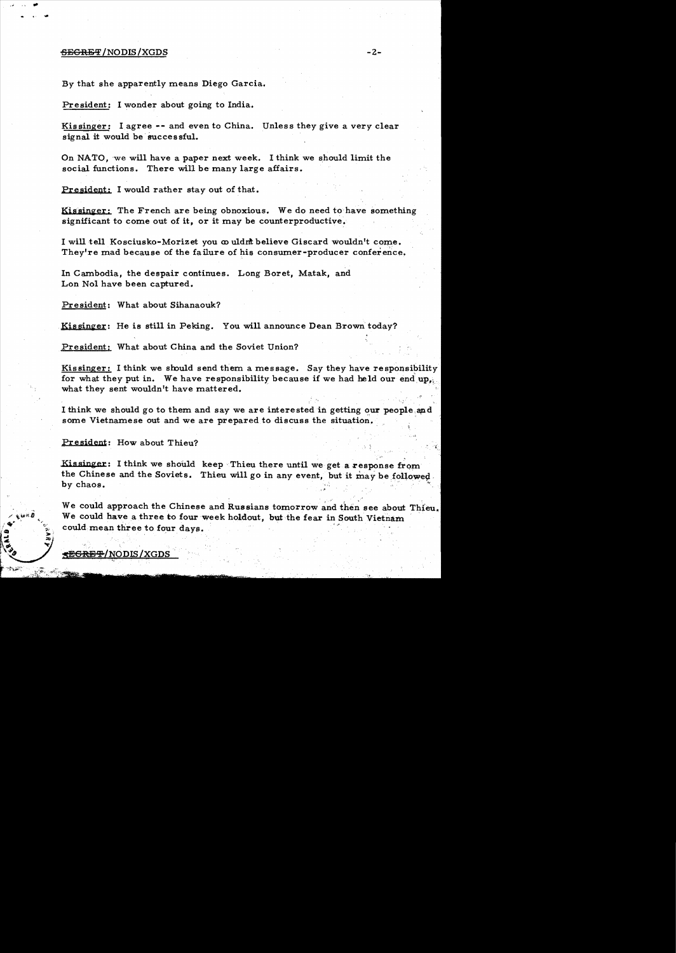#### $\overline{\text{SEGRBF}}$  / NODIS / XGDS  $^{-2-}$

By that she apparently means Diego Garcia.

President: I wonder about going to India.

Kissinger: I agree -- and even to China. Unless they give a very clear signal it would be successful.

On NATO, 'we will have a paper next week. I think we should limit the social functions. There will be many large affairs.

President: I would rather stay out of that.

Kissinger: The French are being obnoxious. We do need to have something significant to come out of it, or it may be counterproductive.

I will tell Kosciusko-Morizet you  $\infty$  uldnt believe Giscard wouldn't come. They're mad because of the failure of his consumer-producer conference.

In Cambodia, the despair continues. Long Boret, Matak, and Lon Nol have been captured.

President: What about Sihanaouk?

Kissinger: He is still in Peking. You will announce Dean Brown today?

President: What about China and the Soviet Union?

Kissinger: I think we should send them a message. Say they have responsibility for what they put in. We have responsibility because if we had held our end up, what they sent wouldn't have mattered.

I think we should go to them and say we are interested in getting our people and some Vietnamese out and we are prepared to discuss the situation.

President: How about Thieu?

Kis singer: I think we should keep Thieu there until we get a response from the Chinese and the Soviets. Thieu will go in any event, but it may be followed by chaos.  $, \cdot, \cdot$ 

We could approach the Chinese and Russians tomorrow and then see about Thieu. We could have a three to four week holdout, but the fear in South Vietnam could mean three to four days.

<del>SEGRET</del>/NODIS/XGDS

**,'.,.** .>' \;~I"i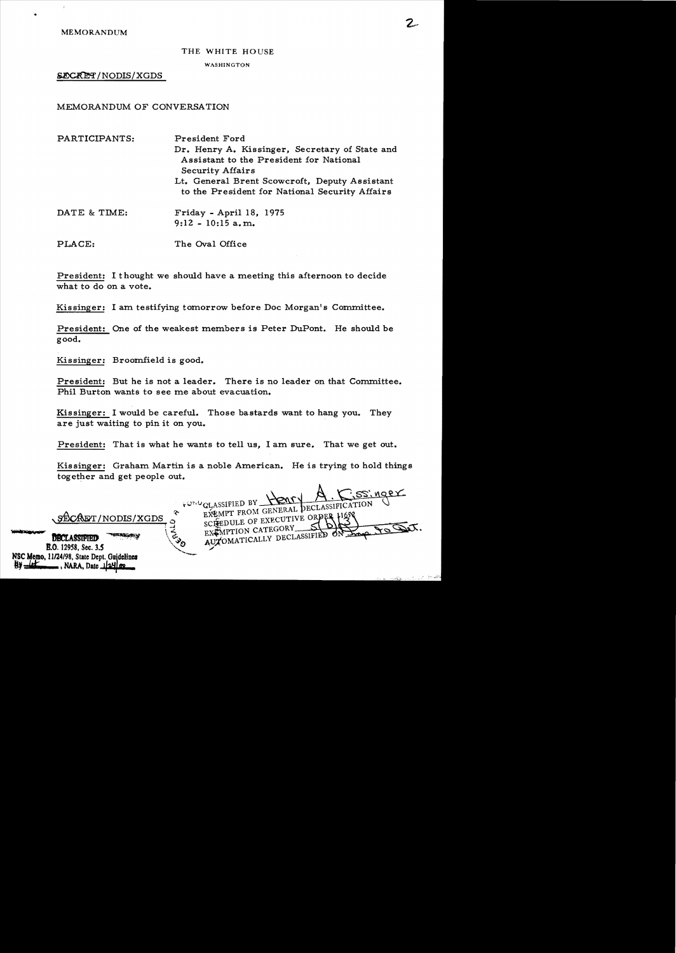MEMORANDUM

#### THE WHITE HOUSE

#### WASHINGTON

SECRET/NODIS/XGDS

MEMORANDUM OF CONVERSATION

| PARTICIPANTS: | President Ford<br>Dr. Henry A. Kissinger, Secretary of State and<br>Assistant to the President for National<br><b>Security Affairs</b> |  |  |  |  |
|---------------|----------------------------------------------------------------------------------------------------------------------------------------|--|--|--|--|
|               | Lt. General Brent Scowcroft, Deputy Assistant<br>to the President for National Security Affairs                                        |  |  |  |  |
| DATE & TIME:  | Friday - April 18, 1975<br>$9:12 - 10:15$ a.m.                                                                                         |  |  |  |  |
| PLACE:        | The Oval Office                                                                                                                        |  |  |  |  |

President: I thought we should have a meeting this afternoon to decide what to do on a vote.

Kissinger: I am testifying tomorrow before Doc Morgan's Committee.

President: One of the weakest members is Peter DuPont. He should be good.

Kissinger: Broomfield is good.

B.O. 12958, Sec. 3.5 NSC Memo. 11/24/98, State Dept. Guidelines<br>**By** Letter , NARA, Date 1/241 co.

President: But he is not a leader. There is no leader on that Committee. Phil Burton wants to see me about evacuation.

Kissinger: I would be careful. Those bastards want to hang you. They are just waiting to pin it on you.

President: That is what he wants to tell us, I am sure. That we get out.

Kissinger: Graham Martin is a noble American. He is trying to hold things together and get people out.

 $\kappa$ ,  $A$ . C.ss: ngex  $t^{Q}_{\text{H}}$ ASSIFIED BY  $\frac{1}{2}$  ECLASSIFICATION

CAET/NODIS/XGDS \* EXEMPT FROM GENERAL SCHEDULE OF EXECUTIVE FROM GENERAL ECLASSIFICATION SECRET/NODIS/XGDS FOR CLASSIFICATION DECLASSIFIED - EXEMPTION CALCONSTRIED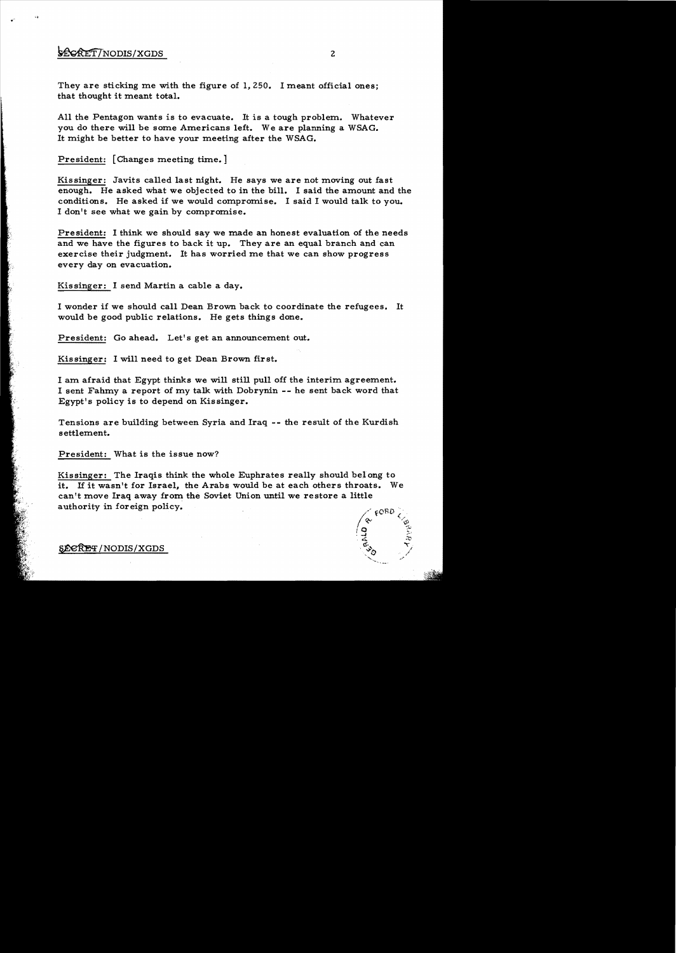## **\*CORET/NODIS/XGDS** 2

 $\cdot$   $\cdot$ 

They are sticking me with the figure of 1,250. I meant official ones; that thought it meant total.

All the Pentagon wants is to evacuate. It is a tough problem. Whatever you do there will be some Americans left. We are planning a WSAG. It might be better to have your meeting after the WSAG.

President: [Changes meeting time.]

Kissinger: Javits called last night. He says we are not moving out fast enough. He asked what we objected to in the bill. I said the amount and the conditions. He asked if we would compromise. I said I would talk to you. I don't see what we gain by compromise.

President: I think we should say we made an honest evaluation of the needs and we have the figures to back it up. They are an equal branch and can exercise their judgment. It has worried me that we can show progress every day on evacuation.

Kissinger: I send Martin a cable a day.

I wonder if we should call Dean Brown back to coordinate the refugees. It would be good public relations. He gets things done.

President: Go ahead. Let's get an announcement out.

Kissinger: I will need to get Dean Brown first.

I am afraid that Egypt thinks we will still pull off the interim agreement. I sent Fahmy a report of my talk with Dobrynin -- he sent back word that Egypt's policy is to depend on Kissinger.

Tensions are building between Syria and Iraq -- the result of the Kurdish settlement.

President: What is the issue now?

Kissinger: The Iraqis think the whole Euphrates really should belong to it. If it wasn't for Israel, the Arabs would be at each others throats. We can't move Iraq away from the Soviet Union until we restore a little authority in foreign policy.



### ~/NODIS/XGDS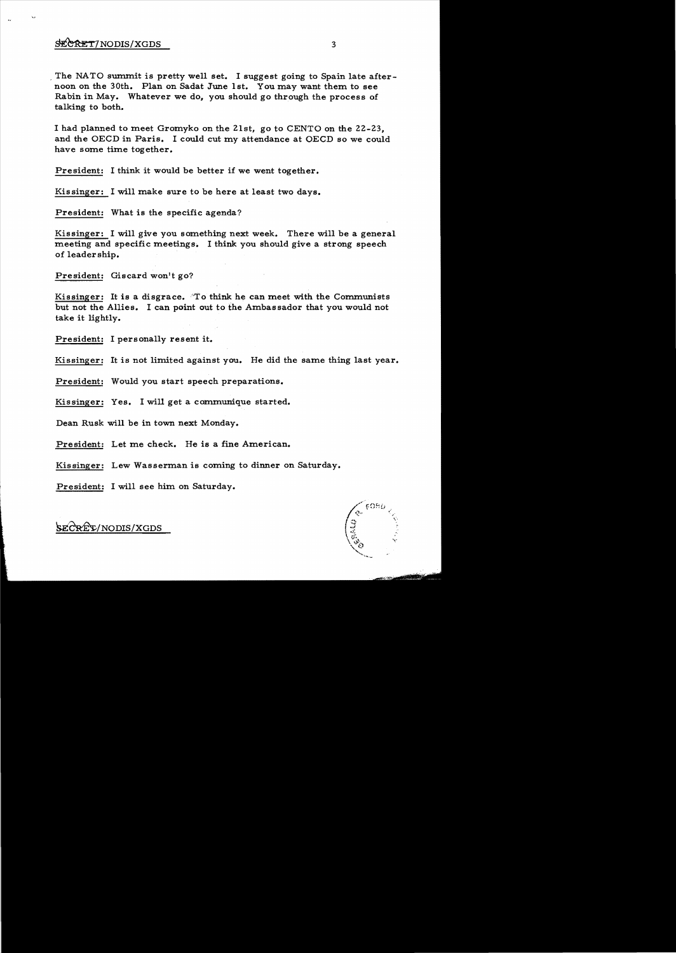## $\frac{\text{SE} \cdot \text{RE}}{\text{NE} \cdot \text{RE}}$  3

The NATO summit is pretty well set. I suggest going to Spain late afternoon on the 30th. Plan on Sadat June 1st. You may want them to see Rabin in May. Whatever we do, you should go through the process of talking to both.

I had planned to meet Gromyko on the 21st, go to CENTO on the 22-23, and the OECD in Paris. I could cut my attendance at OECD so we could have some time together.

President: I think it would be better if we went together.

Kissinger: I will make sure to be here at least two days.

President: What is the specific agenda?

Kissinger: I will give you something next week. There will be a general meeting and specific meetings;. I think you should give a strong speech of leadership.

President: Giscard won't go?

Kissinger: It is a disgrace. "To think he can meet with the Communists but not the Allies. I can point out to the Ambas sador that you would not take it lightly.

President: I personally resent it.

Kissinger: It is not limited against you. He did the same thing last year.

President: Would you start speech preparations.

Kissinger: Yes. I will get a communique started.

Dean Rusk will be in town next Monday.

President: Let me check. He is a fine American.

Kissinger: Lew Wasserman is coming to dinner on Saturday.

President: I will see him on Saturday.

SECRET/NODIS/XGDS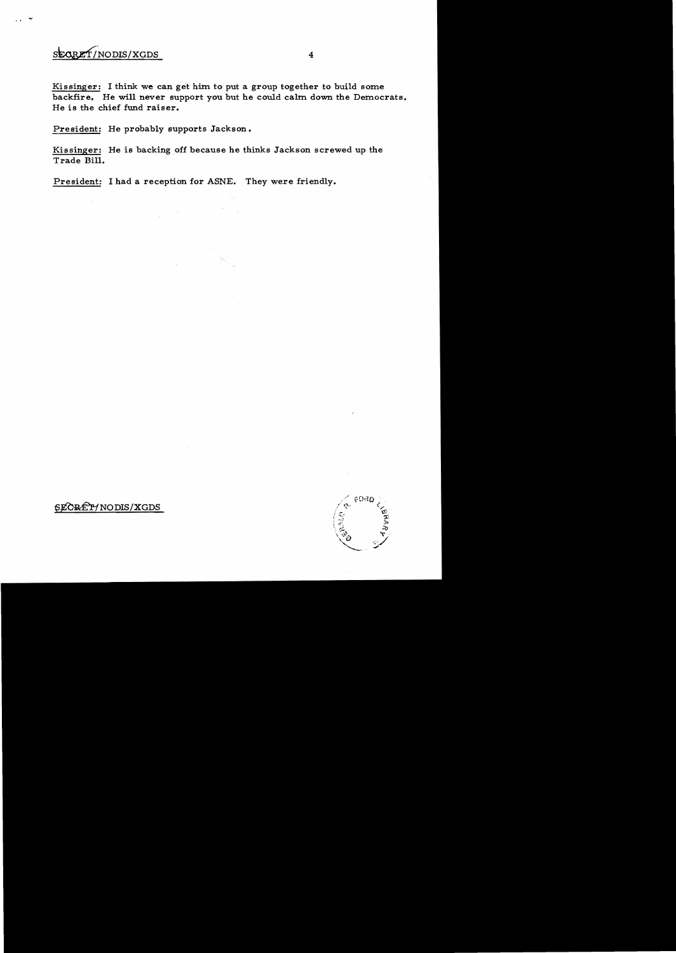# SEQRET/NODIS/XGDS

Kissinger: I think we can get him to put a group together to build some backfire. He will never support you but he could calm down the Democrats. He is the chief fund raiser.

President: He probably supports Jackson.

Kissinger: He is backing off because he thinks Jackson screwed up the Trade Bill.

President: I had a reception for ASNE. They were friendly.

## SECRET/NODIS/XGDS

FORD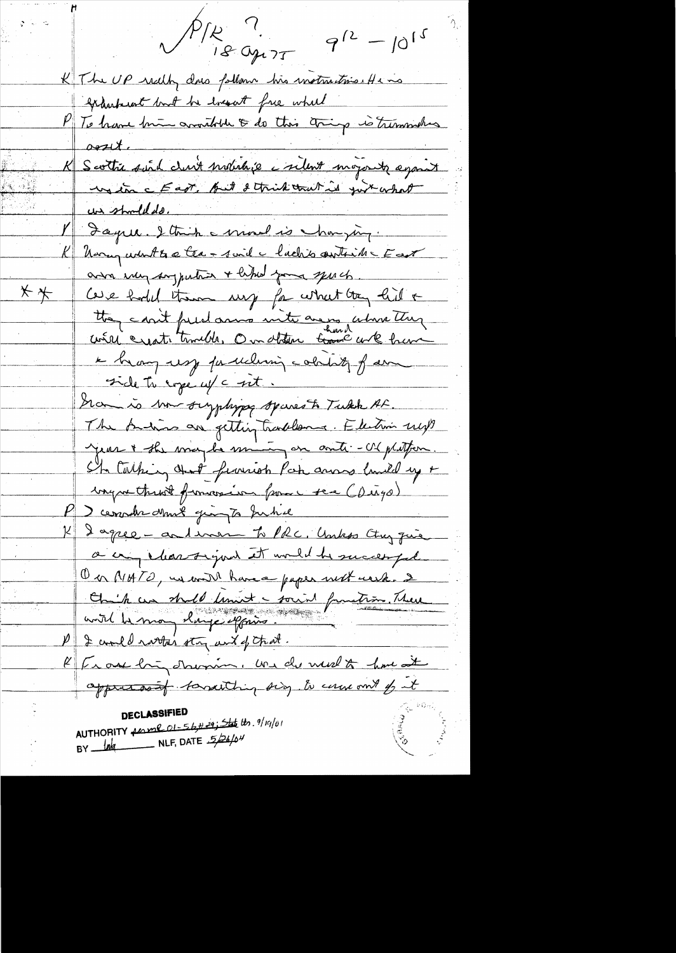PIR<sup>c1</sup>.  $9^{12} - 10^{15}$ K The UP really does follow his instruction He is Granterest bout he losset free wheel To have him consider to do this thing is tremmentes  $o$ est $t$ . Le Scottie suid club mobilité a silent mojoute againt un should do. Jaque. I think a moral is harrying. K Uning what to a tea - suid a lacks outside Fast ava my sagputair + like your sports.  $x \star$ Cove hold them my for what they hid & they can't fund anno inite are no alone they i hang usy faculing colating far side to rope uf a set. Gram is born surphype spares to Tukk AF. The Andrew are getting tradelerned. Electron up jeur + the wice be mining on anti- US philter. She talking that frances Por anno lunid up + ingue throot formoseire france ser (Diago) P ) comments dans gingts June K 2 agree - and war to PRC, Unks Ctry que a cry chartigued it would be successful On MATO, in with have a paper with wish. 2 On ik au stude timet - sount function. There P & could rarta's stry unt of that. K [ Le out long d'homme, une de medit have at approximately torresting sing to cause out of it **DECLASSIFIED** AUTHORITY <u>forme of 56#29; State</u> the 9/19/01 BY  $M$  NLF, DATE  $526/04$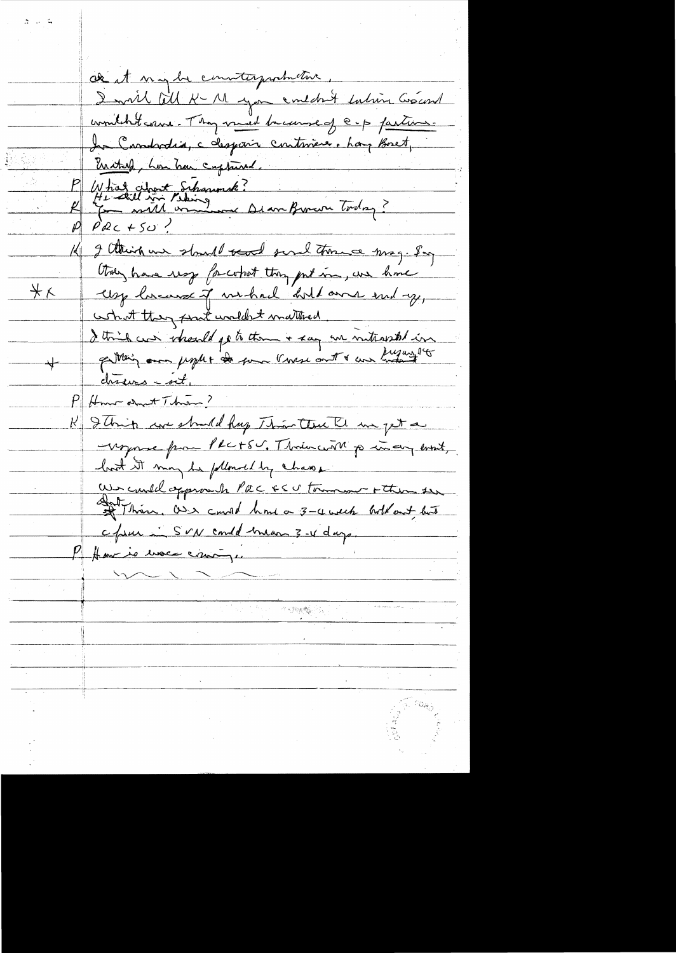ak it my be convitagement . I will fill K - M you ent don't taking Graceral wonitcht came. They must because of e-p facture. In Candratia, c despair continues. Lay Boset, Eriched, how has captured. P What about Schaumak?<br>R He will in Pering and Beau Burnon Today? 14 I think we should send surel throw may. Say they have use for what they got in, we have Usy los aux of we had "hold aver end ay, <u> 米人</u> what they prut undert matter ... I think can identify to them + say are interested in chieves-oct, Pffmm about Them? K & Thip we should hap This that I me get a -voyonne par PRC+50. Thousand princip error, host it may be plloused by chase We cauld opprove to PEC ESU tomment + then see ant Thin as a could have a 3-4 week hold and but c/www. SvN could man 3-4 days. P Ham is use can-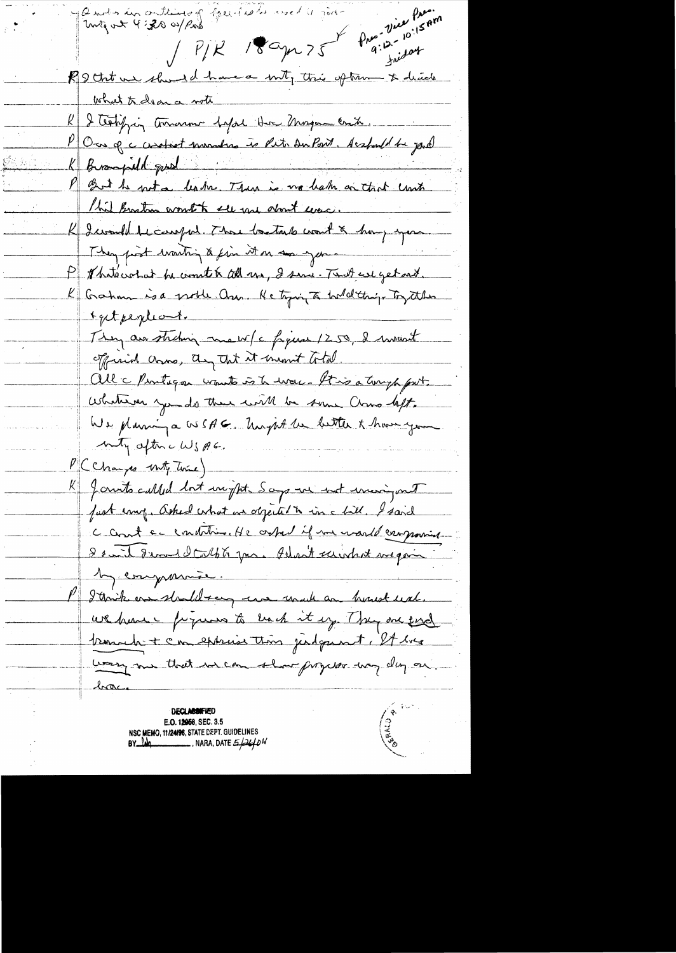. - .. January Guide is well just and permission P/K 18 apr 75 PM finisot what  $\pi$  dear a vote what to dear a note<br><u>Reality to the depth the Magament</u>  $K$  been an towarm before the magine critical P Our qu'instrument en let du Part desfunt de jourd 1-7;; 1.. Md., . *k..Av.....* !'-!,.<M ;... ~. This known wonth see me dont even.<br>K I would be comput . Those basturb wout & hang you They post wanting & fin it on an your P Martocotat be count to coll us, I sure Tent we get out. K Gahm is a noble On. He tying a hold things Try the rgetpegdont. They are striking me w/c figure 1250, I moved official arms, any that it meant total. all c Pentigon wouts is to war. It is a torryh part. Whatever you do there will be some Chows left. We plannin a OSSAG. Un just le better & have you My afterc WSAG. CChanges with twice) K Janits called but weight. Says we not werigout fust emp. asked what we objected to in a bill. I said C count c condition. He ostal if we would can provide 8 suit 8 round Calpts par. Idan't suivant vigoin M comparais. P I think one should say we unade an house use. we have promoto back it up. They are send tement + cm experiention judgment, et une wary me that we can show proper way day on **DECLABBIFIED** 

**E.O. 1868, SEC. 3.5 NSC MEMO, 11/2••STATE Cf.PT. GUIDELINES BY 40**<br>**BY 40**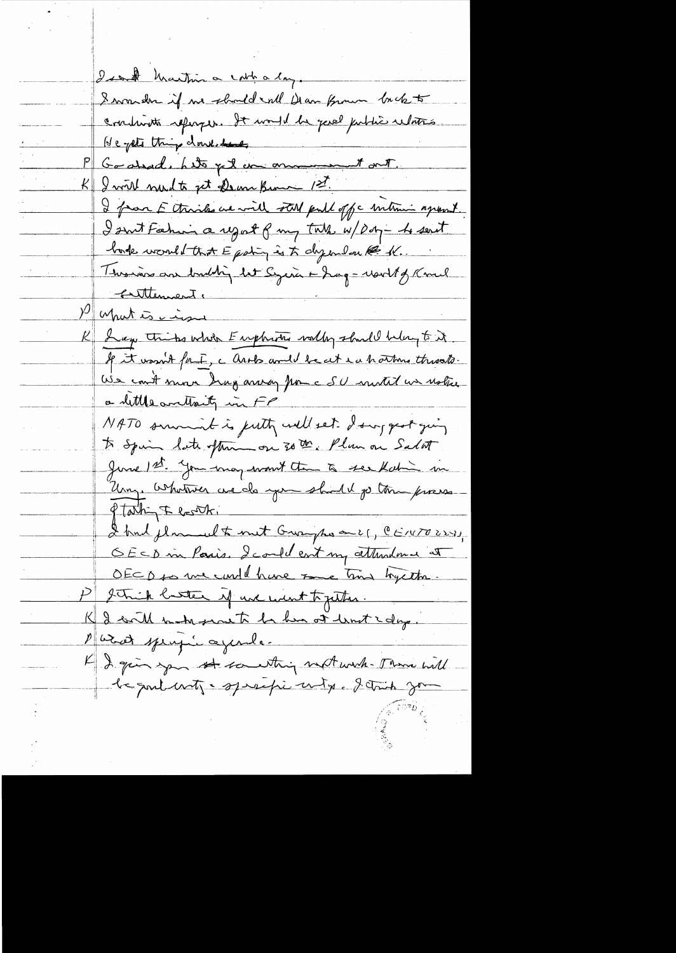Isant Martin a cath a long. I wander if we should rall Dear from hot continute refuges. It would be good public whates He yets things downlidens Godsad, hito pet un annument out. I will need to get Dem Brown 1st. I from E thinks we will stoll pull off a mitime apposed. I suit Fahin a upot of my talk w/ por - he sent bode would that E patin is to dyenlan @ K. This is an bubbing let Syeria - hag - world of Kmel <u>Entternent.</u> Muhatis in K I exp this whole Emphasis worthy should belong to it If it wasn't fait, a link would be at each norther throats. We count more hag array from a SU motil un ustre a little written in FP NATO summer is justy well set I surgest juing to Spain late often on 30 th, Plum on Salat June 1st. You may want the to see Kahin in Uny whotever we do you shill po tom press Ptathin Floothi I had planed to met Gray passer, CENTO223) OECD in Paris, I could cont my attendance at OECD to me could have tome time trycthe. think hatter if we went to getter. I will make proute be her at limit & days. Parot spring à ajende K I give you st southing not with Theme will le poulants esperaficant p. 2 truck jou